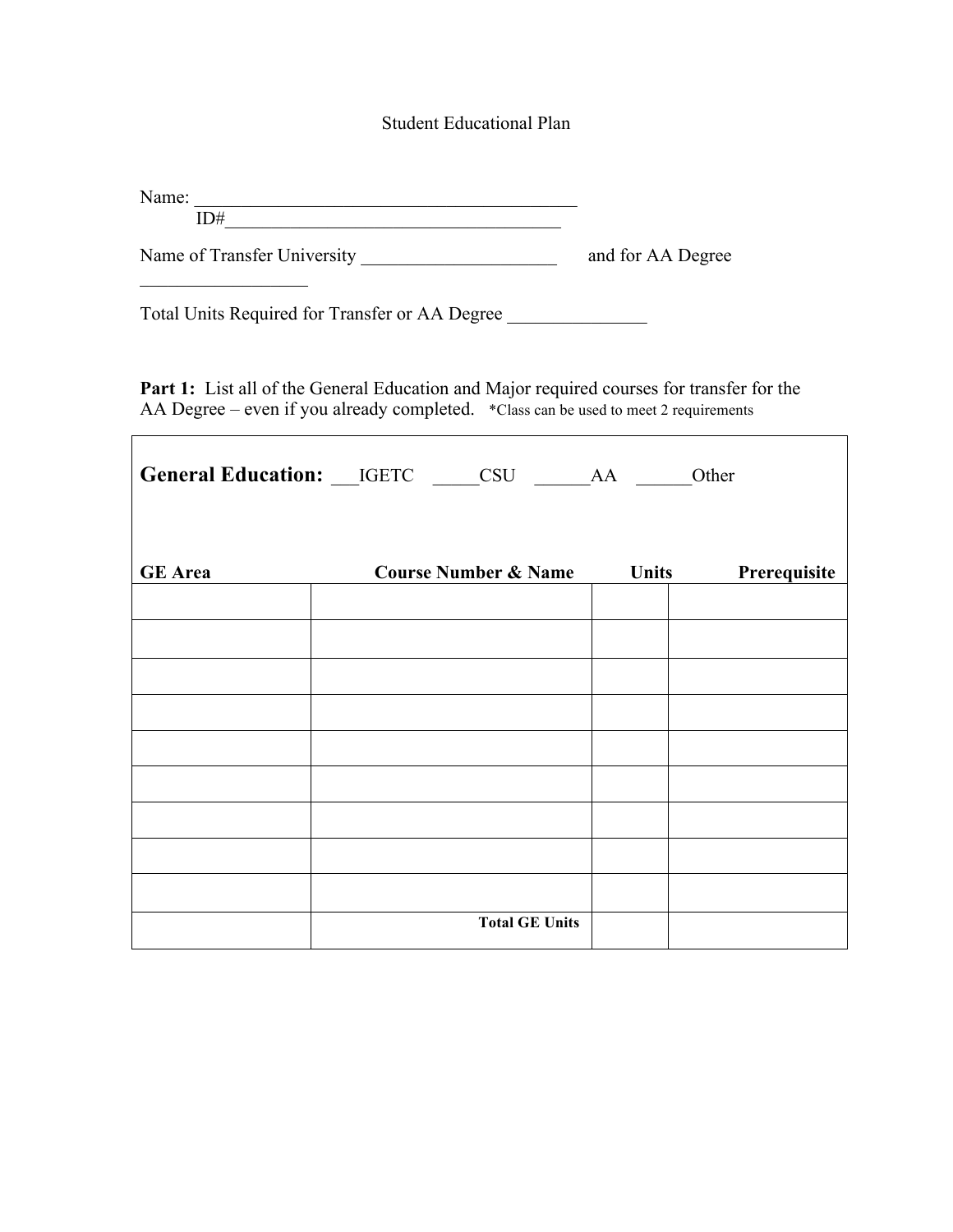## Student Educational Plan

| <b>N</b> T<br>IIIV.<br>* 16 |  |  |
|-----------------------------|--|--|
|                             |  |  |

Name of Transfer University and for AA Degree

Total Units Required for Transfer or AA Degree \_\_\_\_\_\_\_\_\_\_\_\_\_\_\_\_\_\_\_\_\_\_\_\_\_\_\_\_\_\_\_\_\_

 $\mathcal{L}_\text{max}$  , we are the set of the set of the set of the set of the set of the set of the set of the set of the set of the set of the set of the set of the set of the set of the set of the set of the set of the set of

 $\overline{1}$ 

Part 1: List all of the General Education and Major required courses for transfer for the AA Degree – even if you already completed. \*Class can be used to meet 2 requirements

٦

| General Education: __IGETC ____CSU _____AA ____Other |                                 |  |                              |  |  |  |
|------------------------------------------------------|---------------------------------|--|------------------------------|--|--|--|
| <b>GE</b> Area                                       | <b>Course Number &amp; Name</b> |  | <b>Units</b><br>Prerequisite |  |  |  |
|                                                      |                                 |  |                              |  |  |  |
|                                                      |                                 |  |                              |  |  |  |
|                                                      |                                 |  |                              |  |  |  |
|                                                      |                                 |  |                              |  |  |  |
|                                                      | <b>Total GE Units</b>           |  |                              |  |  |  |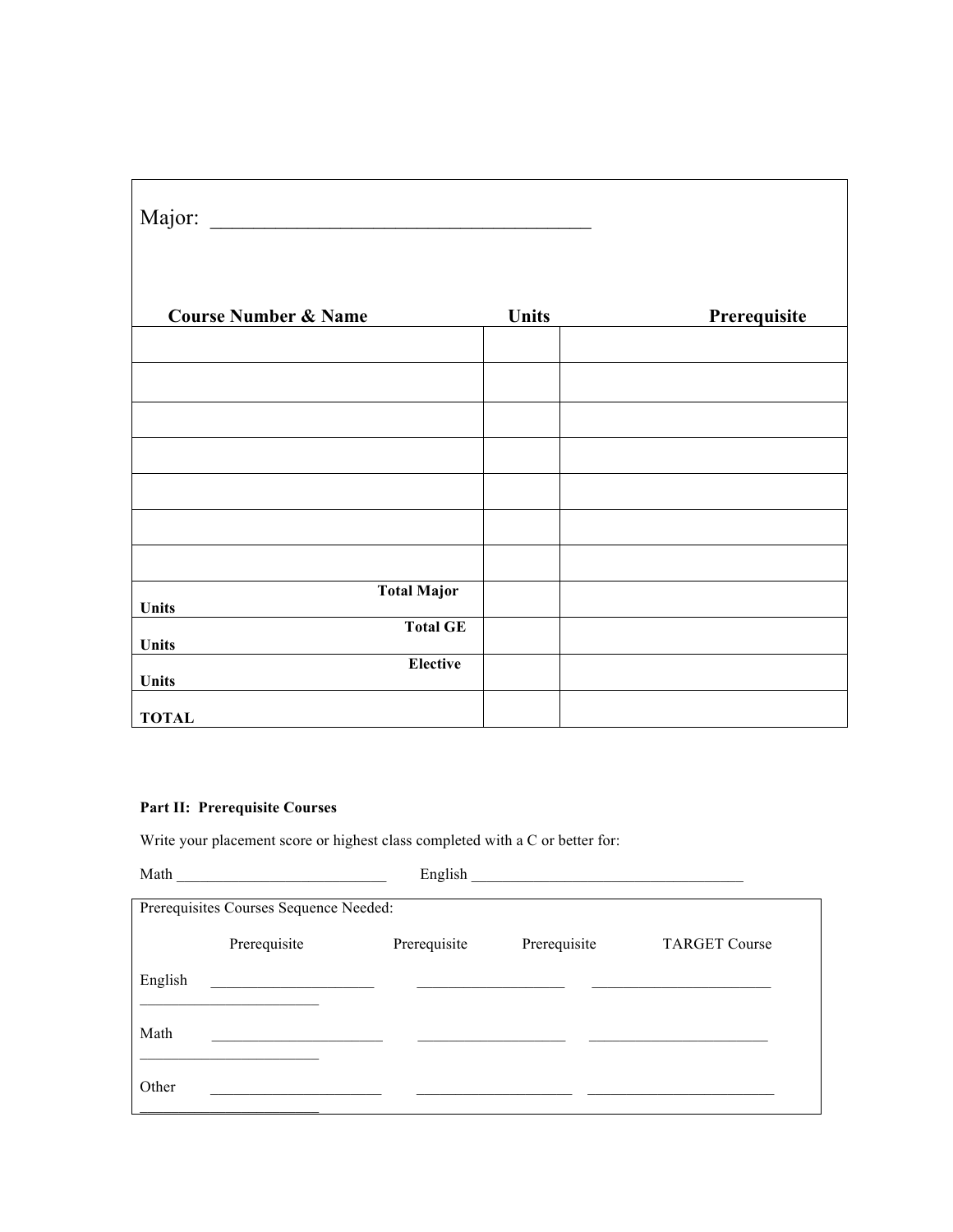| Major:<br><u> 1980 - Jan Barbara, manazarta da kasas da kasas da kasas da kasas da kasas da kasas da kasas da kasas da kasa</u> |       |              |
|---------------------------------------------------------------------------------------------------------------------------------|-------|--------------|
| <b>Course Number &amp; Name</b>                                                                                                 | Units | Prerequisite |
|                                                                                                                                 |       |              |
|                                                                                                                                 |       |              |
|                                                                                                                                 |       |              |
|                                                                                                                                 |       |              |
|                                                                                                                                 |       |              |
|                                                                                                                                 |       |              |
|                                                                                                                                 |       |              |
| <b>Total Major</b>                                                                                                              |       |              |
| <b>Units</b><br><b>Total GE</b>                                                                                                 |       |              |
| <b>Units</b>                                                                                                                    |       |              |
| <b>Elective</b><br>Units                                                                                                        |       |              |
| <b>TOTAL</b>                                                                                                                    |       |              |

## **Part II: Prerequisite Courses**

Write your placement score or highest class completed with a C or better for:

| Math                                   |              | English      |              |                      |  |  |
|----------------------------------------|--------------|--------------|--------------|----------------------|--|--|
| Prerequisites Courses Sequence Needed: |              |              |              |                      |  |  |
|                                        | Prerequisite | Prerequisite | Prerequisite | <b>TARGET Course</b> |  |  |
| English                                |              |              |              |                      |  |  |
| Math                                   |              |              |              |                      |  |  |
| Other                                  |              |              |              |                      |  |  |